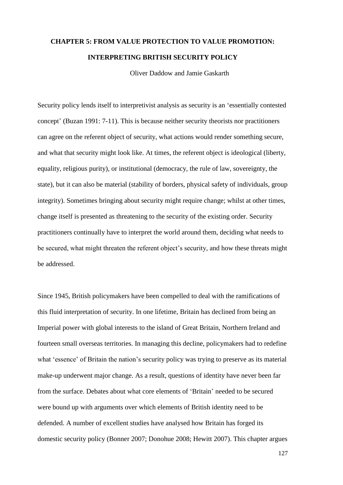# **CHAPTER 5: FROM VALUE PROTECTION TO VALUE PROMOTION: INTERPRETING BRITISH SECURITY POLICY**

Oliver Daddow and Jamie Gaskarth

Security policy lends itself to interpretivist analysis as security is an 'essentially contested concept' (Buzan 1991: 7-11). This is because neither security theorists nor practitioners can agree on the referent object of security, what actions would render something secure, and what that security might look like. At times, the referent object is ideological (liberty, equality, religious purity), or institutional (democracy, the rule of law, sovereignty, the state), but it can also be material (stability of borders, physical safety of individuals, group integrity). Sometimes bringing about security might require change; whilst at other times, change itself is presented as threatening to the security of the existing order. Security practitioners continually have to interpret the world around them, deciding what needs to be secured, what might threaten the referent object's security, and how these threats might be addressed.

Since 1945, British policymakers have been compelled to deal with the ramifications of this fluid interpretation of security. In one lifetime, Britain has declined from being an Imperial power with global interests to the island of Great Britain, Northern Ireland and fourteen small overseas territories. In managing this decline, policymakers had to redefine what 'essence' of Britain the nation's security policy was trying to preserve as its material make-up underwent major change. As a result, questions of identity have never been far from the surface. Debates about what core elements of 'Britain' needed to be secured were bound up with arguments over which elements of British identity need to be defended. A number of excellent studies have analysed how Britain has forged its domestic security policy (Bonner 2007; Donohue 2008; Hewitt 2007). This chapter argues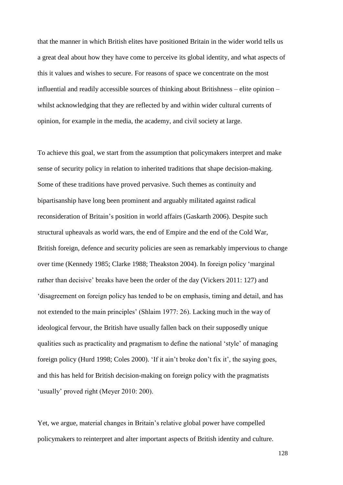that the manner in which British elites have positioned Britain in the wider world tells us a great deal about how they have come to perceive its global identity, and what aspects of this it values and wishes to secure. For reasons of space we concentrate on the most influential and readily accessible sources of thinking about Britishness – elite opinion – whilst acknowledging that they are reflected by and within wider cultural currents of opinion, for example in the media, the academy, and civil society at large.

To achieve this goal, we start from the assumption that policymakers interpret and make sense of security policy in relation to inherited traditions that shape decision-making. Some of these traditions have proved pervasive. Such themes as continuity and bipartisanship have long been prominent and arguably militated against radical reconsideration of Britain's position in world affairs (Gaskarth 2006). Despite such structural upheavals as world wars, the end of Empire and the end of the Cold War, British foreign, defence and security policies are seen as remarkably impervious to change over time (Kennedy 1985; Clarke 1988; Theakston 2004). In foreign policy 'marginal rather than decisive' breaks have been the order of the day (Vickers 2011: 127) and 'disagreement on foreign policy has tended to be on emphasis, timing and detail, and has not extended to the main principles' (Shlaim 1977: 26). Lacking much in the way of ideological fervour, the British have usually fallen back on their supposedly unique qualities such as practicality and pragmatism to define the national 'style' of managing foreign policy (Hurd 1998; Coles 2000). 'If it ain't broke don't fix it', the saying goes, and this has held for British decision-making on foreign policy with the pragmatists 'usually' proved right (Meyer 2010: 200).

Yet, we argue, material changes in Britain's relative global power have compelled policymakers to reinterpret and alter important aspects of British identity and culture.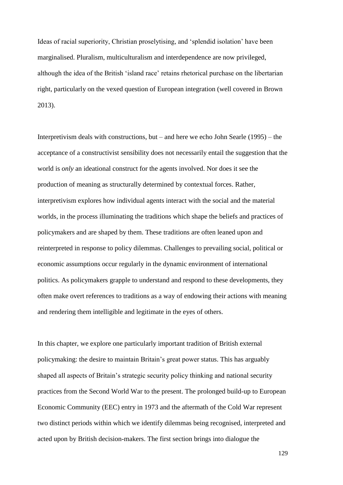Ideas of racial superiority, Christian proselytising, and 'splendid isolation' have been marginalised. Pluralism, multiculturalism and interdependence are now privileged, although the idea of the British 'island race' retains rhetorical purchase on the libertarian right, particularly on the vexed question of European integration (well covered in Brown 2013).

Interpretivism deals with constructions, but – and here we echo John Searle (1995) – the acceptance of a constructivist sensibility does not necessarily entail the suggestion that the world is *only* an ideational construct for the agents involved. Nor does it see the production of meaning as structurally determined by contextual forces. Rather, interpretivism explores how individual agents interact with the social and the material worlds, in the process illuminating the traditions which shape the beliefs and practices of policymakers and are shaped by them. These traditions are often leaned upon and reinterpreted in response to policy dilemmas. Challenges to prevailing social, political or economic assumptions occur regularly in the dynamic environment of international politics. As policymakers grapple to understand and respond to these developments, they often make overt references to traditions as a way of endowing their actions with meaning and rendering them intelligible and legitimate in the eyes of others.

In this chapter, we explore one particularly important tradition of British external policymaking: the desire to maintain Britain's great power status. This has arguably shaped all aspects of Britain's strategic security policy thinking and national security practices from the Second World War to the present. The prolonged build-up to European Economic Community (EEC) entry in 1973 and the aftermath of the Cold War represent two distinct periods within which we identify dilemmas being recognised, interpreted and acted upon by British decision-makers. The first section brings into dialogue the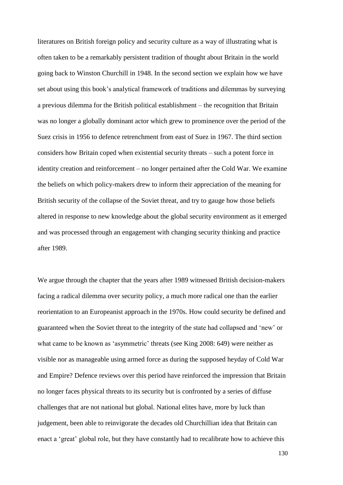literatures on British foreign policy and security culture as a way of illustrating what is often taken to be a remarkably persistent tradition of thought about Britain in the world going back to Winston Churchill in 1948. In the second section we explain how we have set about using this book's analytical framework of traditions and dilemmas by surveying a previous dilemma for the British political establishment – the recognition that Britain was no longer a globally dominant actor which grew to prominence over the period of the Suez crisis in 1956 to defence retrenchment from east of Suez in 1967. The third section considers how Britain coped when existential security threats – such a potent force in identity creation and reinforcement – no longer pertained after the Cold War. We examine the beliefs on which policy-makers drew to inform their appreciation of the meaning for British security of the collapse of the Soviet threat, and try to gauge how those beliefs altered in response to new knowledge about the global security environment as it emerged and was processed through an engagement with changing security thinking and practice after 1989.

We argue through the chapter that the years after 1989 witnessed British decision-makers facing a radical dilemma over security policy, a much more radical one than the earlier reorientation to an Europeanist approach in the 1970s. How could security be defined and guaranteed when the Soviet threat to the integrity of the state had collapsed and 'new' or what came to be known as 'asymmetric' threats (see King 2008: 649) were neither as visible nor as manageable using armed force as during the supposed heyday of Cold War and Empire? Defence reviews over this period have reinforced the impression that Britain no longer faces physical threats to its security but is confronted by a series of diffuse challenges that are not national but global. National elites have, more by luck than judgement, been able to reinvigorate the decades old Churchillian idea that Britain can enact a 'great' global role, but they have constantly had to recalibrate how to achieve this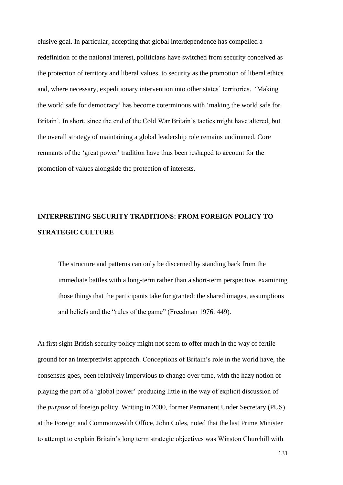elusive goal. In particular, accepting that global interdependence has compelled a redefinition of the national interest, politicians have switched from security conceived as the protection of territory and liberal values, to security as the promotion of liberal ethics and, where necessary, expeditionary intervention into other states' territories. 'Making the world safe for democracy' has become coterminous with 'making the world safe for Britain'. In short, since the end of the Cold War Britain's tactics might have altered, but the overall strategy of maintaining a global leadership role remains undimmed. Core remnants of the 'great power' tradition have thus been reshaped to account for the promotion of values alongside the protection of interests.

### **INTERPRETING SECURITY TRADITIONS: FROM FOREIGN POLICY TO STRATEGIC CULTURE**

The structure and patterns can only be discerned by standing back from the immediate battles with a long-term rather than a short-term perspective, examining those things that the participants take for granted: the shared images, assumptions and beliefs and the "rules of the game" (Freedman 1976: 449).

At first sight British security policy might not seem to offer much in the way of fertile ground for an interpretivist approach. Conceptions of Britain's role in the world have, the consensus goes, been relatively impervious to change over time, with the hazy notion of playing the part of a 'global power' producing little in the way of explicit discussion of the *purpose* of foreign policy. Writing in 2000, former Permanent Under Secretary (PUS) at the Foreign and Commonwealth Office, John Coles, noted that the last Prime Minister to attempt to explain Britain's long term strategic objectives was Winston Churchill with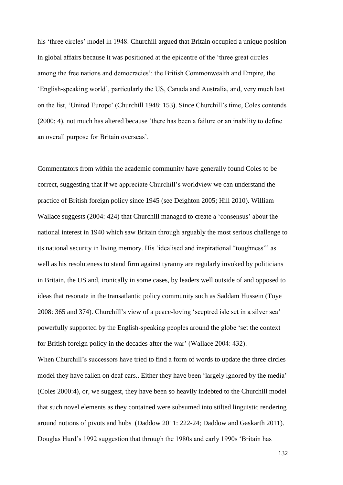his 'three circles' model in 1948. Churchill argued that Britain occupied a unique position in global affairs because it was positioned at the epicentre of the 'three great circles among the free nations and democracies': the British Commonwealth and Empire, the 'English-speaking world', particularly the US, Canada and Australia, and, very much last on the list, 'United Europe' (Churchill 1948: 153). Since Churchill's time, Coles contends (2000: 4), not much has altered because 'there has been a failure or an inability to define an overall purpose for Britain overseas'.

Commentators from within the academic community have generally found Coles to be correct, suggesting that if we appreciate Churchill's worldview we can understand the practice of British foreign policy since 1945 (see Deighton 2005; Hill 2010). William Wallace suggests (2004: 424) that Churchill managed to create a 'consensus' about the national interest in 1940 which saw Britain through arguably the most serious challenge to its national security in living memory. His 'idealised and inspirational "toughness"' as well as his resoluteness to stand firm against tyranny are regularly invoked by politicians in Britain, the US and, ironically in some cases, by leaders well outside of and opposed to ideas that resonate in the transatlantic policy community such as Saddam Hussein (Toye 2008: 365 and 374). Churchill's view of a peace-loving 'sceptred isle set in a silver sea' powerfully supported by the English-speaking peoples around the globe 'set the context for British foreign policy in the decades after the war' (Wallace 2004: 432).

When Churchill's successors have tried to find a form of words to update the three circles model they have fallen on deaf ears.. Either they have been 'largely ignored by the media' (Coles 2000:4), or, we suggest, they have been so heavily indebted to the Churchill model that such novel elements as they contained were subsumed into stilted linguistic rendering around notions of pivots and hubs (Daddow 2011: 222-24; Daddow and Gaskarth 2011). Douglas Hurd's 1992 suggestion that through the 1980s and early 1990s 'Britain has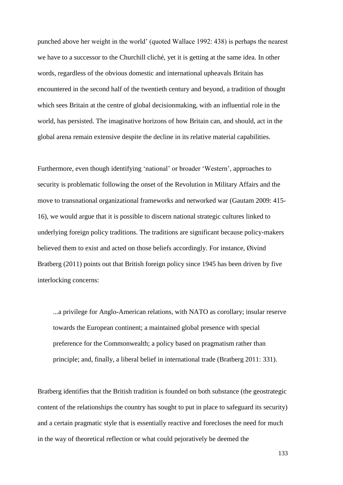punched above her weight in the world' (quoted Wallace 1992: 438) is perhaps the nearest we have to a successor to the Churchill cliché, yet it is getting at the same idea. In other words, regardless of the obvious domestic and international upheavals Britain has encountered in the second half of the twentieth century and beyond, a tradition of thought which sees Britain at the centre of global decisionmaking, with an influential role in the world, has persisted. The imaginative horizons of how Britain can, and should, act in the global arena remain extensive despite the decline in its relative material capabilities.

Furthermore, even though identifying 'national' or broader 'Western', approaches to security is problematic following the onset of the Revolution in Military Affairs and the move to transnational organizational frameworks and networked war (Gautam 2009: 415- 16), we would argue that it is possible to discern national strategic cultures linked to underlying foreign policy traditions. The traditions are significant because policy-makers believed them to exist and acted on those beliefs accordingly. For instance, Øivind Bratberg (2011) points out that British foreign policy since 1945 has been driven by five interlocking concerns:

...a privilege for Anglo-American relations, with NATO as corollary; insular reserve towards the European continent; a maintained global presence with special preference for the Commonwealth; a policy based on pragmatism rather than principle; and, finally, a liberal belief in international trade (Bratberg 2011: 331).

Bratberg identifies that the British tradition is founded on both substance (the geostrategic content of the relationships the country has sought to put in place to safeguard its security) and a certain pragmatic style that is essentially reactive and forecloses the need for much in the way of theoretical reflection or what could pejoratively be deemed the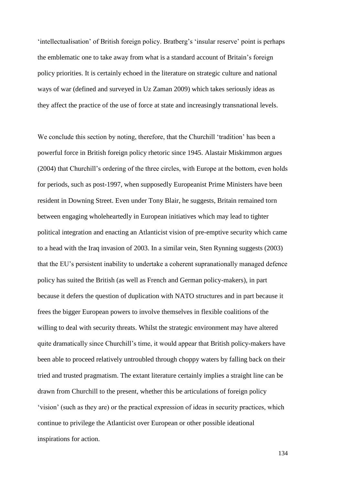'intellectualisation' of British foreign policy. Bratberg's 'insular reserve' point is perhaps the emblematic one to take away from what is a standard account of Britain's foreign policy priorities. It is certainly echoed in the literature on strategic culture and national ways of war (defined and surveyed in Uz Zaman 2009) which takes seriously ideas as they affect the practice of the use of force at state and increasingly transnational levels.

We conclude this section by noting, therefore, that the Churchill 'tradition' has been a powerful force in British foreign policy rhetoric since 1945. Alastair Miskimmon argues (2004) that Churchill's ordering of the three circles, with Europe at the bottom, even holds for periods, such as post-1997, when supposedly Europeanist Prime Ministers have been resident in Downing Street. Even under Tony Blair, he suggests, Britain remained torn between engaging wholeheartedly in European initiatives which may lead to tighter political integration and enacting an Atlanticist vision of pre-emptive security which came to a head with the Iraq invasion of 2003. In a similar vein, Sten Rynning suggests (2003) that the EU's persistent inability to undertake a coherent supranationally managed defence policy has suited the British (as well as French and German policy-makers), in part because it defers the question of duplication with NATO structures and in part because it frees the bigger European powers to involve themselves in flexible coalitions of the willing to deal with security threats. Whilst the strategic environment may have altered quite dramatically since Churchill's time, it would appear that British policy-makers have been able to proceed relatively untroubled through choppy waters by falling back on their tried and trusted pragmatism. The extant literature certainly implies a straight line can be drawn from Churchill to the present, whether this be articulations of foreign policy 'vision' (such as they are) or the practical expression of ideas in security practices, which continue to privilege the Atlanticist over European or other possible ideational inspirations for action.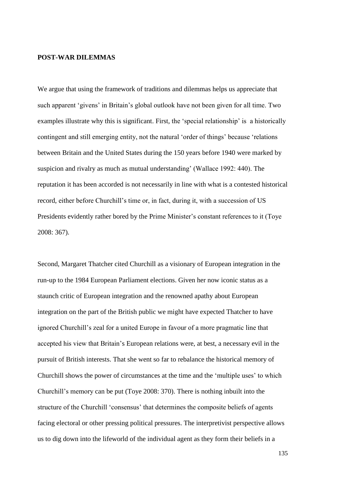#### **POST-WAR DILEMMAS**

We argue that using the framework of traditions and dilemmas helps us appreciate that such apparent 'givens' in Britain's global outlook have not been given for all time. Two examples illustrate why this is significant. First, the 'special relationship' is a historically contingent and still emerging entity, not the natural 'order of things' because 'relations between Britain and the United States during the 150 years before 1940 were marked by suspicion and rivalry as much as mutual understanding' (Wallace 1992: 440). The reputation it has been accorded is not necessarily in line with what is a contested historical record, either before Churchill's time or, in fact, during it, with a succession of US Presidents evidently rather bored by the Prime Minister's constant references to it (Toye 2008: 367).

Second, Margaret Thatcher cited Churchill as a visionary of European integration in the run-up to the 1984 European Parliament elections. Given her now iconic status as a staunch critic of European integration and the renowned apathy about European integration on the part of the British public we might have expected Thatcher to have ignored Churchill's zeal for a united Europe in favour of a more pragmatic line that accepted his view that Britain's European relations were, at best, a necessary evil in the pursuit of British interests. That she went so far to rebalance the historical memory of Churchill shows the power of circumstances at the time and the 'multiple uses' to which Churchill's memory can be put (Toye 2008: 370). There is nothing inbuilt into the structure of the Churchill 'consensus' that determines the composite beliefs of agents facing electoral or other pressing political pressures. The interpretivist perspective allows us to dig down into the lifeworld of the individual agent as they form their beliefs in a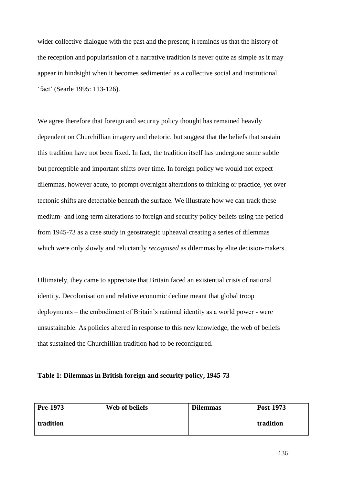wider collective dialogue with the past and the present; it reminds us that the history of the reception and popularisation of a narrative tradition is never quite as simple as it may appear in hindsight when it becomes sedimented as a collective social and institutional 'fact' (Searle 1995: 113-126).

We agree therefore that foreign and security policy thought has remained heavily dependent on Churchillian imagery and rhetoric, but suggest that the beliefs that sustain this tradition have not been fixed. In fact, the tradition itself has undergone some subtle but perceptible and important shifts over time. In foreign policy we would not expect dilemmas, however acute, to prompt overnight alterations to thinking or practice, yet over tectonic shifts are detectable beneath the surface. We illustrate how we can track these medium- and long-term alterations to foreign and security policy beliefs using the period from 1945-73 as a case study in geostrategic upheaval creating a series of dilemmas which were only slowly and reluctantly *recognised* as dilemmas by elite decision-makers.

Ultimately, they came to appreciate that Britain faced an existential crisis of national identity. Decolonisation and relative economic decline meant that global troop deployments – the embodiment of Britain's national identity as a world power - were unsustainable. As policies altered in response to this new knowledge, the web of beliefs that sustained the Churchillian tradition had to be reconfigured.

#### **Table 1: Dilemmas in British foreign and security policy, 1945-73**

| Pre-1973  | Web of beliefs | <b>Dilemmas</b> | Post-1973 |
|-----------|----------------|-----------------|-----------|
| tradition |                |                 | tradition |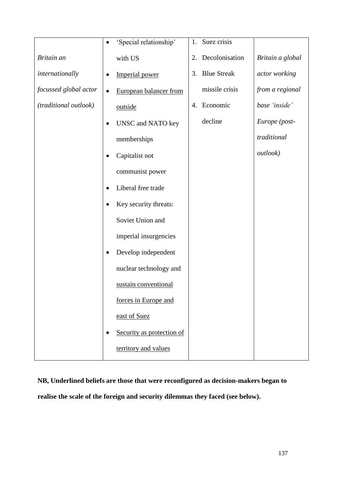|                       | 'Special relationship'                 | Suez crisis<br>1.        |                  |
|-----------------------|----------------------------------------|--------------------------|------------------|
| Britain an            | with US                                | Decolonisation<br>2.     | Britain a global |
| internationally       | Imperial power                         | <b>Blue Streak</b><br>3. | actor working    |
| focussed global actor | European balancer from<br>٠            | missile crisis           | from a regional  |
| (traditional outlook) | outside                                | Economic<br>4.           | base 'inside'    |
|                       | UNSC and NATO key<br>$\bullet$         | decline                  | Europe (post-    |
|                       | memberships                            |                          | traditional      |
|                       | Capitalist not                         |                          | outlook)         |
|                       | communist power                        |                          |                  |
|                       | Liberal free trade                     |                          |                  |
|                       | Key security threats:                  |                          |                  |
|                       | Soviet Union and                       |                          |                  |
|                       | imperial insurgencies                  |                          |                  |
|                       | Develop independent                    |                          |                  |
|                       | nuclear technology and                 |                          |                  |
|                       | sustain conventional                   |                          |                  |
|                       | forces in Europe and                   |                          |                  |
|                       | east of Suez                           |                          |                  |
|                       | Security as protection of<br>$\bullet$ |                          |                  |
|                       | territory and values                   |                          |                  |

**NB, Underlined beliefs are those that were reconfigured as decision-makers began to realise the scale of the foreign and security dilemmas they faced (see below).**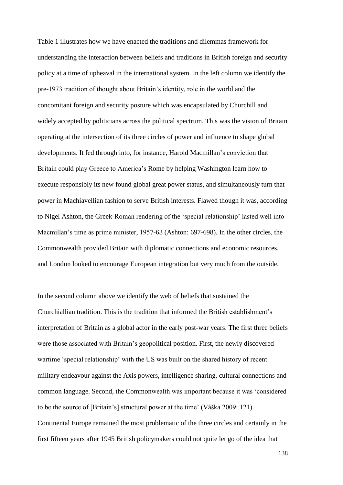Table 1 illustrates how we have enacted the traditions and dilemmas framework for understanding the interaction between beliefs and traditions in British foreign and security policy at a time of upheaval in the international system. In the left column we identify the pre-1973 tradition of thought about Britain's identity, role in the world and the concomitant foreign and security posture which was encapsulated by Churchill and widely accepted by politicians across the political spectrum. This was the vision of Britain operating at the intersection of its three circles of power and influence to shape global developments. It fed through into, for instance, Harold Macmillan's conviction that Britain could play Greece to America's Rome by helping Washington learn how to execute responsibly its new found global great power status, and simultaneously turn that power in Machiavellian fashion to serve British interests. Flawed though it was, according to Nigel Ashton, the Greek-Roman rendering of the 'special relationship' lasted well into Macmillan's time as prime minister, 1957-63 (Ashton: 697-698). In the other circles, the Commonwealth provided Britain with diplomatic connections and economic resources, and London looked to encourage European integration but very much from the outside.

In the second column above we identify the web of beliefs that sustained the Churchiallian tradition. This is the tradition that informed the British establishment's interpretation of Britain as a global actor in the early post-war years. The first three beliefs were those associated with Britain's geopolitical position. First, the newly discovered wartime 'special relationship' with the US was built on the shared history of recent military endeavour against the Axis powers, intelligence sharing, cultural connections and common language. Second, the Commonwealth was important because it was 'considered to be the source of [Britain's] structural power at the time' (Váška 2009: 121). Continental Europe remained the most problematic of the three circles and certainly in the first fifteen years after 1945 British policymakers could not quite let go of the idea that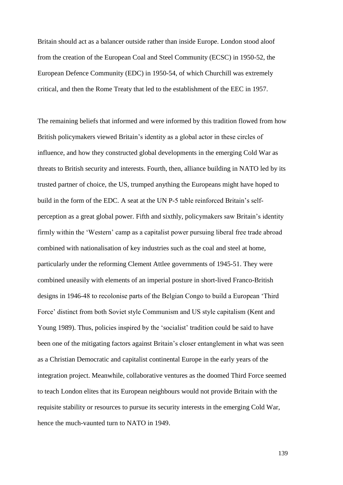Britain should act as a balancer outside rather than inside Europe. London stood aloof from the creation of the European Coal and Steel Community (ECSC) in 1950-52, the European Defence Community (EDC) in 1950-54, of which Churchill was extremely critical, and then the Rome Treaty that led to the establishment of the EEC in 1957.

The remaining beliefs that informed and were informed by this tradition flowed from how British policymakers viewed Britain's identity as a global actor in these circles of influence, and how they constructed global developments in the emerging Cold War as threats to British security and interests. Fourth, then, alliance building in NATO led by its trusted partner of choice, the US, trumped anything the Europeans might have hoped to build in the form of the EDC. A seat at the UN P-5 table reinforced Britain's selfperception as a great global power. Fifth and sixthly, policymakers saw Britain's identity firmly within the 'Western' camp as a capitalist power pursuing liberal free trade abroad combined with nationalisation of key industries such as the coal and steel at home, particularly under the reforming Clement Attlee governments of 1945-51. They were combined uneasily with elements of an imperial posture in short-lived Franco-British designs in 1946-48 to recolonise parts of the Belgian Congo to build a European 'Third Force' distinct from both Soviet style Communism and US style capitalism (Kent and Young 1989). Thus, policies inspired by the 'socialist' tradition could be said to have been one of the mitigating factors against Britain's closer entanglement in what was seen as a Christian Democratic and capitalist continental Europe in the early years of the integration project. Meanwhile, collaborative ventures as the doomed Third Force seemed to teach London elites that its European neighbours would not provide Britain with the requisite stability or resources to pursue its security interests in the emerging Cold War, hence the much-vaunted turn to NATO in 1949.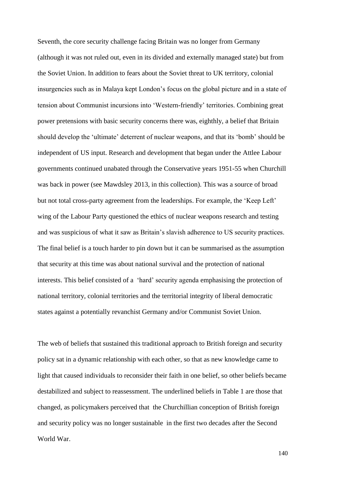Seventh, the core security challenge facing Britain was no longer from Germany (although it was not ruled out, even in its divided and externally managed state) but from the Soviet Union. In addition to fears about the Soviet threat to UK territory, colonial insurgencies such as in Malaya kept London's focus on the global picture and in a state of tension about Communist incursions into 'Western-friendly' territories. Combining great power pretensions with basic security concerns there was, eighthly, a belief that Britain should develop the 'ultimate' deterrent of nuclear weapons, and that its 'bomb' should be independent of US input. Research and development that began under the Attlee Labour governments continued unabated through the Conservative years 1951-55 when Churchill was back in power (see Mawdsley 2013, in this collection). This was a source of broad but not total cross-party agreement from the leaderships. For example, the 'Keep Left' wing of the Labour Party questioned the ethics of nuclear weapons research and testing and was suspicious of what it saw as Britain's slavish adherence to US security practices. The final belief is a touch harder to pin down but it can be summarised as the assumption that security at this time was about national survival and the protection of national interests. This belief consisted of a 'hard' security agenda emphasising the protection of national territory, colonial territories and the territorial integrity of liberal democratic states against a potentially revanchist Germany and/or Communist Soviet Union.

The web of beliefs that sustained this traditional approach to British foreign and security policy sat in a dynamic relationship with each other, so that as new knowledge came to light that caused individuals to reconsider their faith in one belief, so other beliefs became destabilized and subject to reassessment. The underlined beliefs in Table 1 are those that changed, as policymakers perceived that the Churchillian conception of British foreign and security policy was no longer sustainable in the first two decades after the Second World War.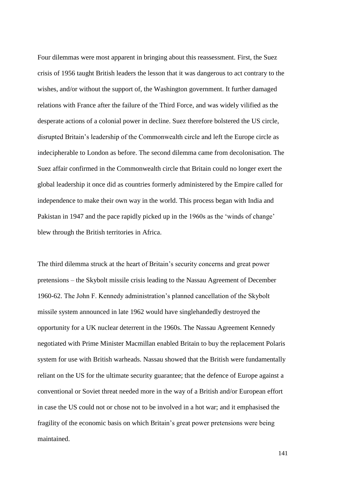Four dilemmas were most apparent in bringing about this reassessment. First, the Suez crisis of 1956 taught British leaders the lesson that it was dangerous to act contrary to the wishes, and/or without the support of, the Washington government. It further damaged relations with France after the failure of the Third Force, and was widely vilified as the desperate actions of a colonial power in decline. Suez therefore bolstered the US circle, disrupted Britain's leadership of the Commonwealth circle and left the Europe circle as indecipherable to London as before. The second dilemma came from decolonisation. The Suez affair confirmed in the Commonwealth circle that Britain could no longer exert the global leadership it once did as countries formerly administered by the Empire called for independence to make their own way in the world. This process began with India and Pakistan in 1947 and the pace rapidly picked up in the 1960s as the 'winds of change' blew through the British territories in Africa.

The third dilemma struck at the heart of Britain's security concerns and great power pretensions – the Skybolt missile crisis leading to the Nassau Agreement of December 1960-62. The John F. Kennedy administration's planned cancellation of the Skybolt missile system announced in late 1962 would have singlehandedly destroyed the opportunity for a UK nuclear deterrent in the 1960s. The Nassau Agreement Kennedy negotiated with Prime Minister Macmillan enabled Britain to buy the replacement Polaris system for use with British warheads. Nassau showed that the British were fundamentally reliant on the US for the ultimate security guarantee; that the defence of Europe against a conventional or Soviet threat needed more in the way of a British and/or European effort in case the US could not or chose not to be involved in a hot war; and it emphasised the fragility of the economic basis on which Britain's great power pretensions were being maintained.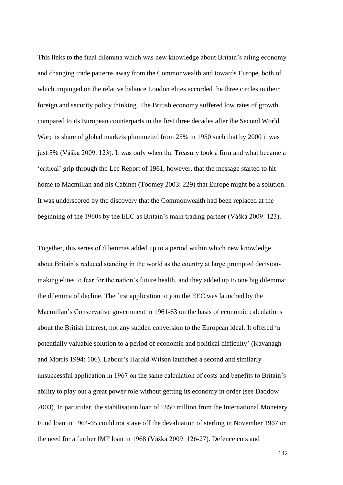This links to the final dilemma which was new knowledge about Britain's ailing economy and changing trade patterns away from the Commonwealth and towards Europe, both of which impinged on the relative balance London elites accorded the three circles in their foreign and security policy thinking. The British economy suffered low rates of growth compared to its European counterparts in the first three decades after the Second World War; its share of global markets plummeted from 25% in 1950 such that by 2000 it was just 5% (Váška 2009: 123). It was only when the Treasury took a firm and what became a 'critical' grip through the Lee Report of 1961, however, that the message started to hit home to Macmillan and his Cabinet (Toomey 2003: 229) that Europe might be a solution. It was underscored by the discovery that the Commonwealth had been replaced at the beginning of the 1960s by the EEC as Britain's main trading partner (Váška 2009: 123).

Together, this series of dilemmas added up to a period within which new knowledge about Britain's reduced standing in the world as the country at large prompted decisionmaking elites to fear for the nation's future health, and they added up to one big dilemma: the dilemma of decline. The first application to join the EEC was launched by the Macmillan's Conservative government in 1961-63 on the basis of economic calculations about the British interest, not any sudden conversion to the European ideal. It offered 'a potentially valuable solution to a period of economic and political difficulty' (Kavanagh and Morris 1994: 106). Labour's Harold Wilson launched a second and similarly unsuccessful application in 1967 on the same calculation of costs and benefits to Britain's ability to play out a great power role without getting its economy in order (see Daddow 2003). In particular, the stabilisation loan of £850 million from the International Monetary Fund loan in 1964-65 could not stave off the devaluation of sterling in November 1967 or the need for a further IMF loan in 1968 (Váška 2009: 126-27). Defence cuts and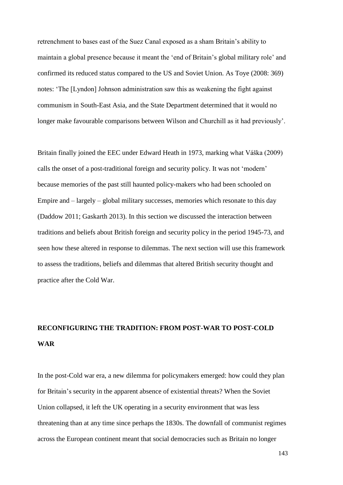retrenchment to bases east of the Suez Canal exposed as a sham Britain's ability to maintain a global presence because it meant the 'end of Britain's global military role' and confirmed its reduced status compared to the US and Soviet Union. As Toye (2008: 369) notes: 'The [Lyndon] Johnson administration saw this as weakening the fight against communism in South-East Asia, and the State Department determined that it would no longer make favourable comparisons between Wilson and Churchill as it had previously'.

Britain finally joined the EEC under Edward Heath in 1973, marking what Váška (2009) calls the onset of a post-traditional foreign and security policy. It was not 'modern' because memories of the past still haunted policy-makers who had been schooled on Empire and – largely – global military successes, memories which resonate to this day (Daddow 2011; Gaskarth 2013). In this section we discussed the interaction between traditions and beliefs about British foreign and security policy in the period 1945-73, and seen how these altered in response to dilemmas. The next section will use this framework to assess the traditions, beliefs and dilemmas that altered British security thought and practice after the Cold War.

## **RECONFIGURING THE TRADITION: FROM POST-WAR TO POST-COLD WAR**

In the post-Cold war era, a new dilemma for policymakers emerged: how could they plan for Britain's security in the apparent absence of existential threats? When the Soviet Union collapsed, it left the UK operating in a security environment that was less threatening than at any time since perhaps the 1830s. The downfall of communist regimes across the European continent meant that social democracies such as Britain no longer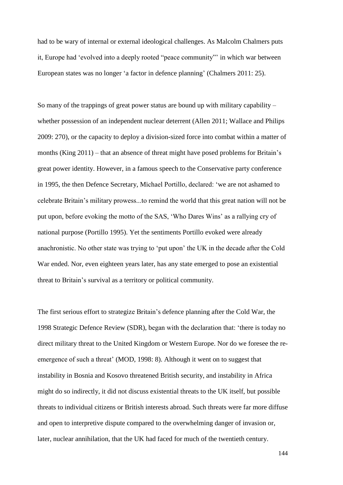had to be wary of internal or external ideological challenges. As Malcolm Chalmers puts it, Europe had 'evolved into a deeply rooted "peace community"' in which war between European states was no longer 'a factor in defence planning' (Chalmers 2011: 25).

So many of the trappings of great power status are bound up with military capability  $$ whether possession of an independent nuclear deterrent (Allen 2011; Wallace and Philips 2009: 270), or the capacity to deploy a division-sized force into combat within a matter of months (King 2011) – that an absence of threat might have posed problems for Britain's great power identity. However, in a famous speech to the Conservative party conference in 1995, the then Defence Secretary, Michael Portillo, declared: 'we are not ashamed to celebrate Britain's military prowess...to remind the world that this great nation will not be put upon, before evoking the motto of the SAS, 'Who Dares Wins' as a rallying cry of national purpose (Portillo 1995). Yet the sentiments Portillo evoked were already anachronistic. No other state was trying to 'put upon' the UK in the decade after the Cold War ended. Nor, even eighteen years later, has any state emerged to pose an existential threat to Britain's survival as a territory or political community.

The first serious effort to strategize Britain's defence planning after the Cold War, the 1998 Strategic Defence Review (SDR), began with the declaration that: 'there is today no direct military threat to the United Kingdom or Western Europe. Nor do we foresee the reemergence of such a threat' (MOD, 1998: 8). Although it went on to suggest that instability in Bosnia and Kosovo threatened British security, and instability in Africa might do so indirectly, it did not discuss existential threats to the UK itself, but possible threats to individual citizens or British interests abroad. Such threats were far more diffuse and open to interpretive dispute compared to the overwhelming danger of invasion or, later, nuclear annihilation, that the UK had faced for much of the twentieth century.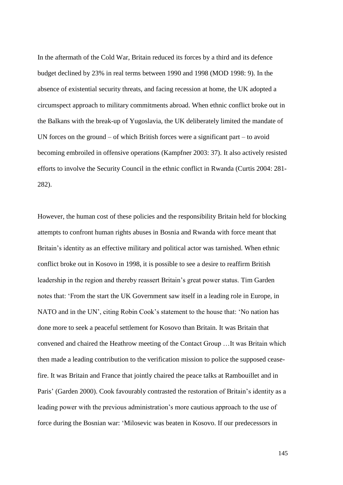In the aftermath of the Cold War, Britain reduced its forces by a third and its defence budget declined by 23% in real terms between 1990 and 1998 (MOD 1998: 9). In the absence of existential security threats, and facing recession at home, the UK adopted a circumspect approach to military commitments abroad. When ethnic conflict broke out in the Balkans with the break-up of Yugoslavia, the UK deliberately limited the mandate of UN forces on the ground – of which British forces were a significant part – to avoid becoming embroiled in offensive operations (Kampfner 2003: 37). It also actively resisted efforts to involve the Security Council in the ethnic conflict in Rwanda (Curtis 2004: 281- 282).

However, the human cost of these policies and the responsibility Britain held for blocking attempts to confront human rights abuses in Bosnia and Rwanda with force meant that Britain's identity as an effective military and political actor was tarnished. When ethnic conflict broke out in Kosovo in 1998, it is possible to see a desire to reaffirm British leadership in the region and thereby reassert Britain's great power status. Tim Garden notes that: 'From the start the UK Government saw itself in a leading role in Europe, in NATO and in the UN', citing Robin Cook's statement to the house that: 'No nation has done more to seek a peaceful settlement for Kosovo than Britain. It was Britain that convened and chaired the Heathrow meeting of the Contact Group …It was Britain which then made a leading contribution to the verification mission to police the supposed ceasefire. It was Britain and France that jointly chaired the peace talks at Rambouillet and in Paris' (Garden 2000). Cook favourably contrasted the restoration of Britain's identity as a leading power with the previous administration's more cautious approach to the use of force during the Bosnian war: 'Milosevic was beaten in Kosovo. If our predecessors in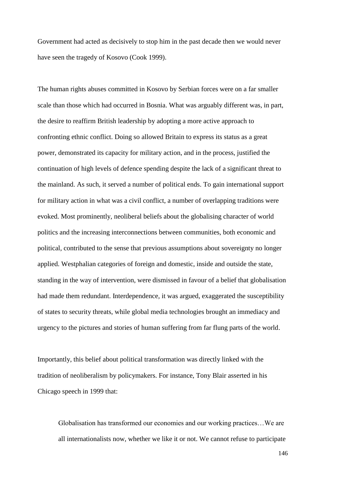Government had acted as decisively to stop him in the past decade then we would never have seen the tragedy of Kosovo (Cook 1999).

The human rights abuses committed in Kosovo by Serbian forces were on a far smaller scale than those which had occurred in Bosnia. What was arguably different was, in part, the desire to reaffirm British leadership by adopting a more active approach to confronting ethnic conflict. Doing so allowed Britain to express its status as a great power, demonstrated its capacity for military action, and in the process, justified the continuation of high levels of defence spending despite the lack of a significant threat to the mainland. As such, it served a number of political ends. To gain international support for military action in what was a civil conflict, a number of overlapping traditions were evoked. Most prominently, neoliberal beliefs about the globalising character of world politics and the increasing interconnections between communities, both economic and political, contributed to the sense that previous assumptions about sovereignty no longer applied. Westphalian categories of foreign and domestic, inside and outside the state, standing in the way of intervention, were dismissed in favour of a belief that globalisation had made them redundant. Interdependence, it was argued, exaggerated the susceptibility of states to security threats, while global media technologies brought an immediacy and urgency to the pictures and stories of human suffering from far flung parts of the world.

Importantly, this belief about political transformation was directly linked with the tradition of neoliberalism by policymakers. For instance, Tony Blair asserted in his Chicago speech in 1999 that:

Globalisation has transformed our economies and our working practices…We are all internationalists now, whether we like it or not. We cannot refuse to participate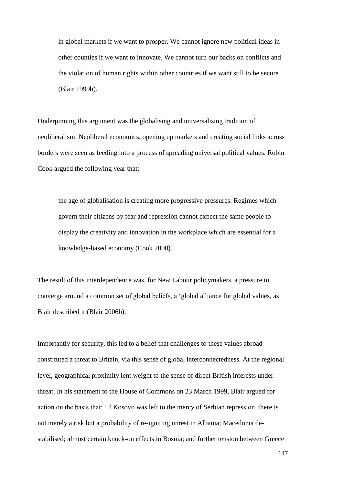in global markets if we want to prosper. We cannot ignore new political ideas in other counties if we want to innovate. We cannot turn our backs on conflicts and the violation of human rights within other countries if we want still to be secure (Blair 1999b).

Underpinning this argument was the globalising and universalising tradition of neoliberalism. Neoliberal economics, opening up markets and creating social links across borders were seen as feeding into a process of spreading universal political values. Robin Cook argued the following year that:

the age of globalisation is creating more progressive pressures. Regimes which govern their citizens by fear and repression cannot expect the same people to display the creativity and innovation in the workplace which are essential for a knowledge-based economy (Cook 2000).

The result of this interdependence was, for New Labour policymakers, a pressure to converge around a common set of global beliefs, a 'global alliance for global values, as Blair described it (Blair 2006b).

Importantly for security, this led to a belief that challenges to these values abroad constituted a threat to Britain, via this sense of global interconnectedness. At the regional level, geographical proximity lent weight to the sense of direct British interests under threat. In his statement to the House of Commons on 23 March 1999, Blair argued for action on the basis that: 'If Kosovo was left to the mercy of Serbian repression, there is not merely a risk but a probability of re-igniting unrest in Albania; Macedonia destabilised; almost certain knock-on effects in Bosnia; and further tension between Greece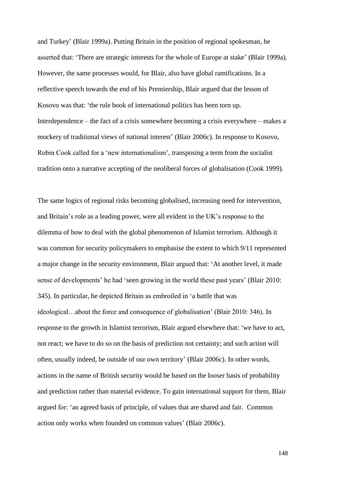and Turkey' (Blair 1999a). Putting Britain in the position of regional spokesman, he asserted that: 'There are strategic interests for the whole of Europe at stake' (Blair 1999a). However, the same processes would, for Blair, also have global ramifications. In a reflective speech towards the end of his Premiership, Blair argued that the lesson of Kosovo was that: 'the rule book of international politics has been torn up. Interdependence – the fact of a crisis somewhere becoming a crisis everywhere – makes a mockery of traditional views of national interest' (Blair 2006c). In response to Kosovo, Robin Cook called for a 'new internationalism', transposing a term from the socialist tradition onto a narrative accepting of the neoliberal forces of globalisation (Cook 1999).

The same logics of regional risks becoming globalised, increasing need for intervention, and Britain's role as a leading power, were all evident in the UK's response to the dilemma of how to deal with the global phenomenon of Islamist terrorism. Although it was common for security policymakers to emphasise the extent to which 9/11 represented a major change in the security environment, Blair argued that: 'At another level, it made sense of developments' he had 'seen growing in the world these past years' (Blair 2010: 345). In particular, he depicted Britain as embroiled in 'a battle that was ideological…about the force and consequence of globalisation' (Blair 2010: 346). In response to the growth in Islamist terrorism, Blair argued elsewhere that: 'we have to act, not react; we have to do so on the basis of prediction not certainty; and such action will often, usually indeed, be outside of our own territory' (Blair 2006c). In other words, actions in the name of British security would be based on the looser basis of probability and prediction rather than material evidence. To gain international support for them, Blair argued for: 'an agreed basis of principle, of values that are shared and fair. Common action only works when founded on common values' (Blair 2006c).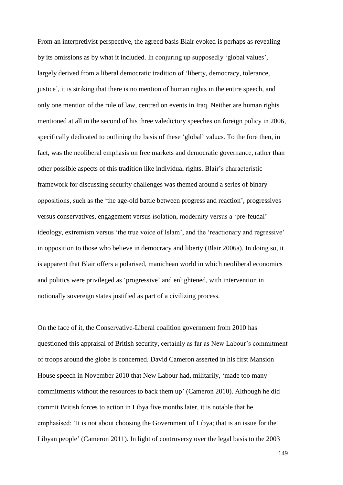From an interpretivist perspective, the agreed basis Blair evoked is perhaps as revealing by its omissions as by what it included. In conjuring up supposedly 'global values', largely derived from a liberal democratic tradition of 'liberty, democracy, tolerance, justice', it is striking that there is no mention of human rights in the entire speech, and only one mention of the rule of law, centred on events in Iraq. Neither are human rights mentioned at all in the second of his three valedictory speeches on foreign policy in 2006, specifically dedicated to outlining the basis of these 'global' values. To the fore then, in fact, was the neoliberal emphasis on free markets and democratic governance, rather than other possible aspects of this tradition like individual rights. Blair's characteristic framework for discussing security challenges was themed around a series of binary oppositions, such as the 'the age-old battle between progress and reaction', progressives versus conservatives, engagement versus isolation, modernity versus a 'pre-feudal' ideology, extremism versus 'the true voice of Islam', and the 'reactionary and regressive' in opposition to those who believe in democracy and liberty (Blair 2006a). In doing so, it is apparent that Blair offers a polarised, manichean world in which neoliberal economics and politics were privileged as 'progressive' and enlightened, with intervention in notionally sovereign states justified as part of a civilizing process.

On the face of it, the Conservative-Liberal coalition government from 2010 has questioned this appraisal of British security, certainly as far as New Labour's commitment of troops around the globe is concerned. David Cameron asserted in his first Mansion House speech in November 2010 that New Labour had, militarily, 'made too many commitments without the resources to back them up' (Cameron 2010). Although he did commit British forces to action in Libya five months later, it is notable that he emphasised: 'It is not about choosing the Government of Libya; that is an issue for the Libyan people' (Cameron 2011). In light of controversy over the legal basis to the 2003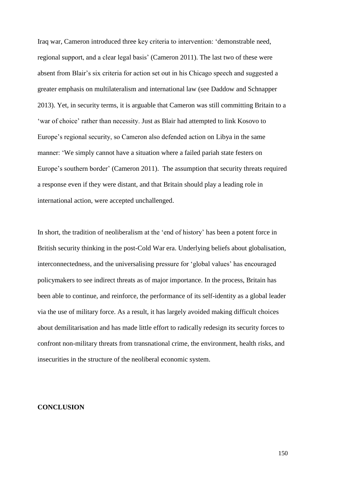Iraq war, Cameron introduced three key criteria to intervention: 'demonstrable need, regional support, and a clear legal basis' (Cameron 2011). The last two of these were absent from Blair's six criteria for action set out in his Chicago speech and suggested a greater emphasis on multilateralism and international law (see Daddow and Schnapper 2013). Yet, in security terms, it is arguable that Cameron was still committing Britain to a 'war of choice' rather than necessity. Just as Blair had attempted to link Kosovo to Europe's regional security, so Cameron also defended action on Libya in the same manner: 'We simply cannot have a situation where a failed pariah state festers on Europe's southern border' (Cameron 2011). The assumption that security threats required a response even if they were distant, and that Britain should play a leading role in international action, were accepted unchallenged.

In short, the tradition of neoliberalism at the 'end of history' has been a potent force in British security thinking in the post-Cold War era. Underlying beliefs about globalisation, interconnectedness, and the universalising pressure for 'global values' has encouraged policymakers to see indirect threats as of major importance. In the process, Britain has been able to continue, and reinforce, the performance of its self-identity as a global leader via the use of military force. As a result, it has largely avoided making difficult choices about demilitarisation and has made little effort to radically redesign its security forces to confront non-military threats from transnational crime, the environment, health risks, and insecurities in the structure of the neoliberal economic system.

#### **CONCLUSION**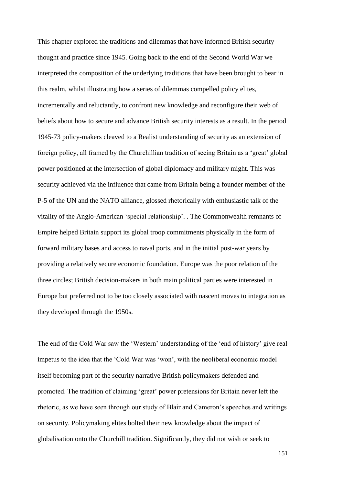This chapter explored the traditions and dilemmas that have informed British security thought and practice since 1945. Going back to the end of the Second World War we interpreted the composition of the underlying traditions that have been brought to bear in this realm, whilst illustrating how a series of dilemmas compelled policy elites, incrementally and reluctantly, to confront new knowledge and reconfigure their web of beliefs about how to secure and advance British security interests as a result. In the period 1945-73 policy-makers cleaved to a Realist understanding of security as an extension of foreign policy, all framed by the Churchillian tradition of seeing Britain as a 'great' global power positioned at the intersection of global diplomacy and military might. This was security achieved via the influence that came from Britain being a founder member of the P-5 of the UN and the NATO alliance, glossed rhetorically with enthusiastic talk of the vitality of the Anglo-American 'special relationship'. . The Commonwealth remnants of Empire helped Britain support its global troop commitments physically in the form of forward military bases and access to naval ports, and in the initial post-war years by providing a relatively secure economic foundation. Europe was the poor relation of the three circles; British decision-makers in both main political parties were interested in Europe but preferred not to be too closely associated with nascent moves to integration as they developed through the 1950s.

The end of the Cold War saw the 'Western' understanding of the 'end of history' give real impetus to the idea that the 'Cold War was 'won', with the neoliberal economic model itself becoming part of the security narrative British policymakers defended and promoted. The tradition of claiming 'great' power pretensions for Britain never left the rhetoric, as we have seen through our study of Blair and Cameron's speeches and writings on security. Policymaking elites bolted their new knowledge about the impact of globalisation onto the Churchill tradition. Significantly, they did not wish or seek to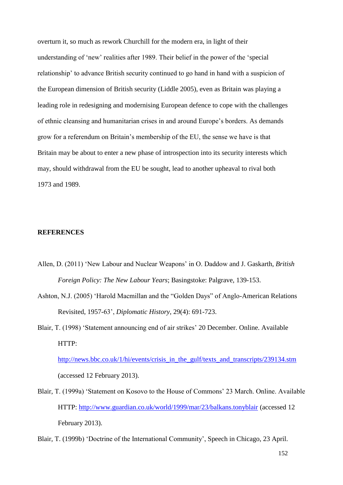overturn it, so much as rework Churchill for the modern era, in light of their understanding of 'new' realities after 1989. Their belief in the power of the 'special relationship' to advance British security continued to go hand in hand with a suspicion of the European dimension of British security (Liddle 2005), even as Britain was playing a leading role in redesigning and modernising European defence to cope with the challenges of ethnic cleansing and humanitarian crises in and around Europe's borders. As demands grow for a referendum on Britain's membership of the EU, the sense we have is that Britain may be about to enter a new phase of introspection into its security interests which may, should withdrawal from the EU be sought, lead to another upheaval to rival both 1973 and 1989.

### **REFERENCES**

- Allen, D. (2011) 'New Labour and Nuclear Weapons' in O. Daddow and J. Gaskarth, *British Foreign Policy: The New Labour Years*; Basingstoke: Palgrave, 139-153.
- Ashton, N.J. (2005) 'Harold Macmillan and the "Golden Days" of Anglo-American Relations Revisited, 1957-63', *Diplomatic History*, 29(4): 691-723.
- Blair, T. (1998) 'Statement announcing end of air strikes' 20 December. Online. Available HTTP:

[http://news.bbc.co.uk/1/hi/events/crisis\\_in\\_the\\_gulf/texts\\_and\\_transcripts/239134.stm](http://news.bbc.co.uk/1/hi/events/crisis_in_the_gulf/texts_and_transcripts/239134.stm) (accessed 12 February 2013).

Blair, T. (1999a) 'Statement on Kosovo to the House of Commons' 23 March. Online. Available HTTP: <http://www.guardian.co.uk/world/1999/mar/23/balkans.tonyblair> (accessed 12 February 2013).

Blair, T. (1999b) 'Doctrine of the International Community', Speech in Chicago, 23 April.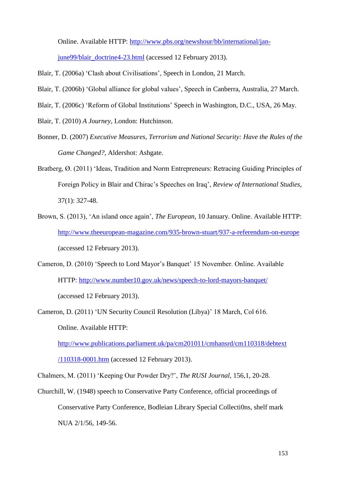Online. Available HTTP: [http://www.pbs.org/newshour/bb/international/jan-](http://www.pbs.org/newshour/bb/international/jan-june99/blair_doctrine4-23.html)

[june99/blair\\_doctrine4-23.html](http://www.pbs.org/newshour/bb/international/jan-june99/blair_doctrine4-23.html) (accessed 12 February 2013).

- Blair, T. (2006a) 'Clash about Civilisations', Speech in London, 21 March.
- Blair, T. (2006b) 'Global alliance for global values', Speech in Canberra, Australia, 27 March.
- Blair, T. (2006c) 'Reform of Global Institutions' Speech in Washington, D.C., USA, 26 May.
- Blair, T. (2010) *A Journey*, London: Hutchinson.
- Bonner, D. (2007) *Executive Measures, Terrorism and National Security: Have the Rules of the Game Changed?*, Aldershot: Ashgate.
- Bratberg, Ø. (2011) 'Ideas, Tradition and Norm Entrepreneurs: Retracing Guiding Principles of Foreign Policy in Blair and Chirac's Speeches on Iraq', *Review of International Studies*, 37(1): 327-48.
- Brown, S. (2013), 'An island once again', *The European*, 10 January. Online. Available HTTP: <http://www.theeuropean-magazine.com/935-brown-stuart/937-a-referendum-on-europe> (accessed 12 February 2013).
- Cameron, D. (2010) 'Speech to Lord Mayor's Banquet' 15 November. Online. Available HTTP: <http://www.number10.gov.uk/news/speech-to-lord-mayors-banquet/> (accessed 12 February 2013).
- Cameron, D. (2011) 'UN Security Council Resolution (Libya)' 18 March, Col 616. Online. Available HTTP:

[http://www.publications.parliament.uk/pa/cm201011/cmhansrd/cm110318/debtext](http://www.publications.parliament.uk/pa/cm201011/cmhansrd/cm110318/debtext/110318-0001.htm)

[/110318-0001.htm](http://www.publications.parliament.uk/pa/cm201011/cmhansrd/cm110318/debtext/110318-0001.htm) (accessed 12 February 2013).

Chalmers, M. (2011) 'Keeping Our Powder Dry?', *The RUSI Journal*, 156,1, 20-28.

Churchill, W. (1948) speech to Conservative Party Conference, official proceedings of Conservative Party Conference, Bodleian Library Special Collecti0ns, shelf mark NUA 2/1/56, 149-56.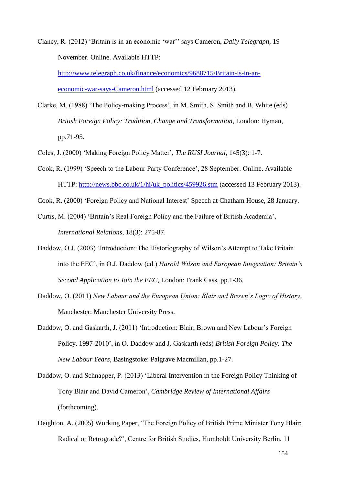Clancy, R. (2012) 'Britain is in an economic 'war'' says Cameron, *Daily Telegraph*, 19 November. Online. Available HTTP:

[http://www.telegraph.co.uk/finance/economics/9688715/Britain-is-in-an](http://www.telegraph.co.uk/finance/economics/9688715/Britain-is-in-an-economic-war-says-Cameron.html)[economic-war-says-Cameron.html](http://www.telegraph.co.uk/finance/economics/9688715/Britain-is-in-an-economic-war-says-Cameron.html) (accessed 12 February 2013).

- Clarke, M. (1988) 'The Policy-making Process', in M. Smith, S. Smith and B. White (eds) *British Foreign Policy: Tradition, Change and Transformation*, London: Hyman, pp.71-95.
- Coles, J. (2000) 'Making Foreign Policy Matter', *The RUSI Journal*, 145(3): 1-7.
- Cook, R. (1999) 'Speech to the Labour Party Conference', 28 September. Online. Available HTTP: [http://news.bbc.co.uk/1/hi/uk\\_politics/459926.stm](http://news.bbc.co.uk/1/hi/uk_politics/459926.stm) (accessed 13 February 2013).
- Cook, R. (2000) 'Foreign Policy and National Interest' Speech at Chatham House, 28 January.
- Curtis, M. (2004) 'Britain's Real Foreign Policy and the Failure of British Academia', *International Relations*, 18(3): 275-87.
- Daddow, O.J. (2003) 'Introduction: The Historiography of Wilson's Attempt to Take Britain into the EEC', in O.J. Daddow (ed.) *Harold Wilson and European Integration: Britain's Second Application to Join the EEC*, London: Frank Cass, pp.1-36.
- Daddow, O. (2011) *New Labour and the European Union: Blair and Brown's Logic of History*, Manchester: Manchester University Press.
- Daddow, O. and Gaskarth, J. (2011) 'Introduction: Blair, Brown and New Labour's Foreign Policy, 1997-2010', in O. Daddow and J. Gaskarth (eds) *British Foreign Policy: The New Labour Years*, Basingstoke: Palgrave Macmillan, pp.1-27.
- Daddow, O. and Schnapper, P. (2013) 'Liberal Intervention in the Foreign Policy Thinking of Tony Blair and David Cameron', *Cambridge Review of International Affairs* (forthcoming).
- Deighton, A. (2005) Working Paper, 'The Foreign Policy of British Prime Minister Tony Blair: Radical or Retrograde?', Centre for British Studies, Humboldt University Berlin, 11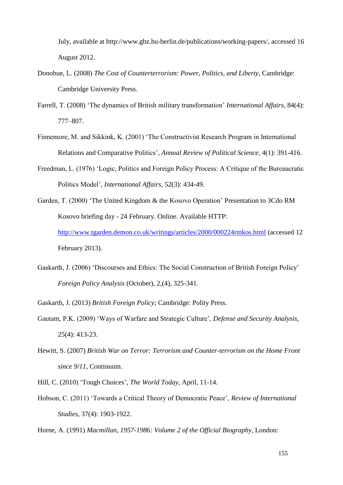July, available at http://www.gbz.hu-berlin.de/publications/working-papers/, accessed 16 August 2012.

- Donohue, L. (2008) *The Cost of Counterterrorism: Power, Politics, and Liberty*, Cambridge: Cambridge University Press.
- Farrell, T. (2008) 'The dynamics of British military transformation' *International Affairs*, 84(4): 777–807.
- Finnemore, M. and Sikkink, K. (2001) 'The Constructivist Research Program in International Relations and Comparative Politics', *Annual Review of Political Science*, 4(1): 391-416.
- Freedman, L. (1976) 'Logic, Politics and Foreign Policy Process: A Critique of the Bureaucratic Politics Model', *International Affairs*, 52(3): 434-49.
- Garden, T. (2000) 'The United Kingdom & the Kosovo Operation' Presentation to 3Cdo RM Kosovo briefing day - 24 February. Online. Available HTTP: <http://www.tgarden.demon.co.uk/writings/articles/2000/000224rmkos.html> (accessed 12 February 2013).
- Gaskarth, J. (2006) 'Discourses and Ethics: The Social Construction of British Foreign Policy' *Foreign Policy Analysis* (October), 2,(4), 325-341.
- Gaskarth, J. (2013) *British Foreign Policy*; Cambridge: Polity Press.
- Gautam, P.K. (2009) 'Ways of Warfare and Strategic Culture', *Defense and Security Analysis*, 25(4): 413-23.
- Hewitt, S. (2007) *British War on Terror: Terrorism and Counter-terrorism on the Home Front since 9/11*, Continuum.
- Hill, C. (2010) 'Tough Choices', *The World Today*, April, 11-14.
- Hobson, C. (2011) 'Towards a Critical Theory of Democratic Peace', *Review of International Studies*, 37(4): 1903-1922.

Horne, A. (1991) *Macmillan, 1957-1986: Volume 2 of the Official Biography*, London: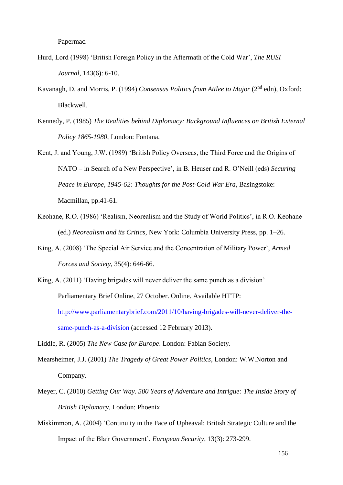Papermac.

- Hurd, Lord (1998) 'British Foreign Policy in the Aftermath of the Cold War', *The RUSI Journal*, 143(6): 6-10.
- Kavanagh, D. and Morris, P. (1994) *Consensus Politics from Attlee to Major* (2<sup>nd</sup> edn), Oxford: Blackwell.
- Kennedy, P. (1985) *The Realities behind Diplomacy: Background Influences on British External Policy 1865-1980*, London: Fontana.
- Kent, J. and Young, J.W. (1989) 'British Policy Overseas, the Third Force and the Origins of NATO – in Search of a New Perspective', in B. Heuser and R. O'Neill (eds) *Securing Peace in Europe, 1945-62: Thoughts for the Post-Cold War Era*, Basingstoke: Macmillan, pp.41-61.
- Keohane, R.O. (1986) 'Realism, Neorealism and the Study of World Politics', in R.O. Keohane (ed.) *Neorealism and its Critics*, New York: Columbia University Press, pp. 1–26.
- King, A. (2008) 'The Special Air Service and the Concentration of Military Power', *Armed Forces and Society*, 35(4): 646-66.
- King, A. (2011) 'Having brigades will never deliver the same punch as a division' Parliamentary Brief Online, 27 October. Online. Available HTTP: [http://www.parliamentarybrief.com/2011/10/having-brigades-will-never-deliver-the](http://www.parliamentarybrief.com/2011/10/having-brigades-will-never-deliver-the-same-punch-as-a-division)[same-punch-as-a-division](http://www.parliamentarybrief.com/2011/10/having-brigades-will-never-deliver-the-same-punch-as-a-division) (accessed 12 February 2013).
- Liddle, R. (2005) *The New Case for Europe*. London: Fabian Society.
- Mearsheimer, J.J. (2001) *The Tragedy of Great Power Politics*, London: W.W.Norton and Company.
- Meyer, C. (2010) *Getting Our Way. 500 Years of Adventure and Intrigue: The Inside Story of British Diplomacy*, London: Phoenix.
- Miskimmon, A. (2004) 'Continuity in the Face of Upheaval: British Strategic Culture and the Impact of the Blair Government', *European Security*, 13(3): 273-299.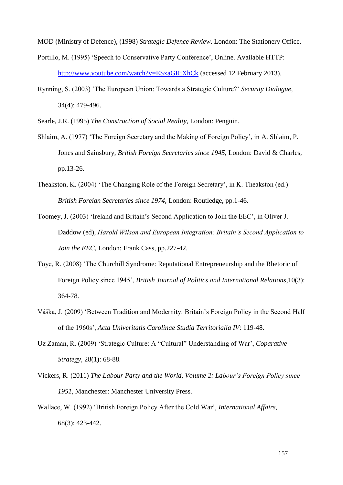MOD (Ministry of Defence), (1998) *Strategic Defence Review*. London: The Stationery Office.

- Portillo, M. (1995) 'Speech to Conservative Party Conference', Online. Available HTTP: <http://www.youtube.com/watch?v=ESxaGRjXhCk> (accessed 12 February 2013).
- Rynning, S. (2003) 'The European Union: Towards a Strategic Culture?' *Security Dialogue*, 34(4): 479-496.
- Searle, J.R. (1995) *The Construction of Social Reality*, London: Penguin.
- Shlaim, A. (1977) 'The Foreign Secretary and the Making of Foreign Policy', in A. Shlaim, P. Jones and Sainsbury, *British Foreign Secretaries since 1945*, London: David & Charles, pp.13-26.
- Theakston, K. (2004) 'The Changing Role of the Foreign Secretary', in K. Theakston (ed.) *British Foreign Secretaries since 1974*, London: Routledge, pp.1-46.
- Toomey, J. (2003) 'Ireland and Britain's Second Application to Join the EEC', in Oliver J. Daddow (ed), *Harold Wilson and European Integration: Britain's Second Application to Join the EEC*, London: Frank Cass, pp.227-42.
- Toye, R. (2008) 'The Churchill Syndrome: Reputational Entrepreneurship and the Rhetoric of Foreign Policy since 1945', *British Journal of Politics and International Relations*,10(3): 364-78.
- Váška, J. (2009) 'Between Tradition and Modernity: Britain's Foreign Policy in the Second Half of the 1960s', *Acta Univeritatis Carolinae Studia Territorialia IV*: 119-48.
- Uz Zaman, R. (2009) 'Strategic Culture: A "Cultural" Understanding of War', *Coparative Strategy*, 28(1): 68-88.
- Vickers, R. (2011) *The Labour Party and the World, Volume 2: Labour's Foreign Policy since 1951*, Manchester: Manchester University Press.
- Wallace, W. (1992) 'British Foreign Policy After the Cold War', *International Affairs*, 68(3): 423-442.